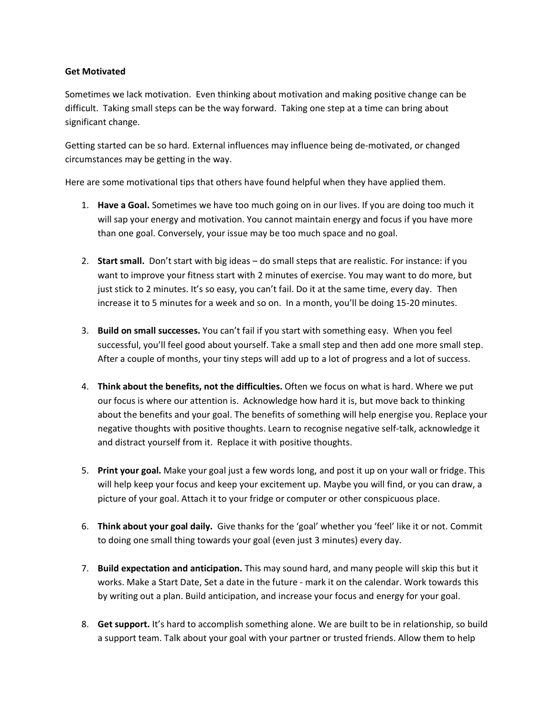## **Get Motivated**

Sometimes we lack motivation. Even thinking about motivation and making positive change can be difficult. Taking small steps can be the way forward. Taking one step at a time can bring about significant change.

Getting started can be so hard. External influences may influence being de-motivated, or changed circumstances may be getting in the way.

Here are some motivational tips that others have found helpful when they have applied them.

- 1. **Have a Goal.** Sometimes we have too much going on in our lives. If you are doing too much it will sap your energy and motivation. You cannot maintain energy and focus if you have more than one goal. Conversely, your issue may be too much space and no goal.
- 2. **Start small.** Don't start with big ideas do small steps that are realistic. For instance: if you want to improve your fitness start with 2 minutes of exercise. You may want to do more, but just stick to 2 minutes. It's so easy, you can't fail. Do it at the same time, every day. Then increase it to 5 minutes for a week and so on. In a month, you'll be doing 15-20 minutes.
- 3. **Build on small successes.** You can't fail if you start with something easy. When you feel successful, you'll feel good about yourself. Take a small step and then add one more small step. After a couple of months, your tiny steps will add up to a lot of progress and a lot of success.
- 4. **Think about the benefits, not the difficulties.** Often we focus on what is hard. Where we put our focus is where our attention is. Acknowledge how hard it is, but move back to thinking about the benefits and your goal. The benefits of something will help energise you. Replace your negative thoughts with positive thoughts. Learn to recognise negative self-talk, acknowledge it and distract yourself from it. Replace it with positive thoughts.
- 5. **Print your goal.** Make your goal just a few words long, and post it up on your wall or fridge. This will help keep your focus and keep your excitement up. Maybe you will find, or you can draw, a picture of your goal. Attach it to your fridge or computer or other conspicuous place.
- 6. **Think about your goal daily.** Give thanks for the 'goal' whether you 'feel' like it or not. Commit to doing one small thing towards your goal (even just 3 minutes) every day.
- 7. **Build expectation and anticipation.** This may sound hard, and many people will skip this but it works. Make a Start Date, Set a date in the future - mark it on the calendar. Work towards this by writing out a plan. Build anticipation, and increase your focus and energy for your goal.
- 8. **Get support.** It's hard to accomplish something alone. We are built to be in relationship, so build a support team. Talk about your goal with your partner or trusted friends. Allow them to help